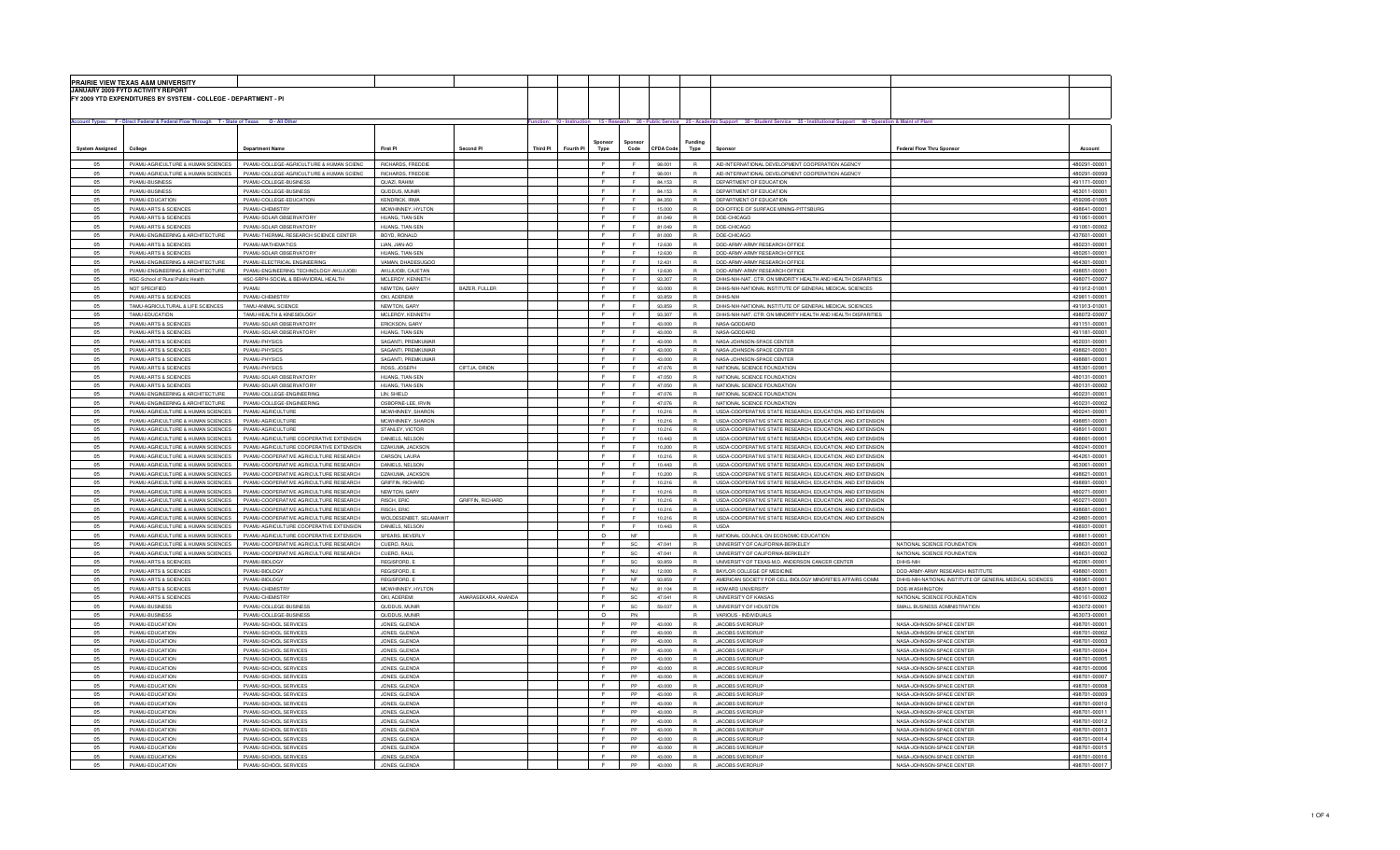|                        | PRAIRIE VIEW TEXAS A&M UNIVERSITY<br>JANUARY 2009 FYTD ACTIVITY REPORT                    |                                                                                  |                                         |                         |          |                              |                     |                                                                                                                                                                    |                              |                                                                                                                        |                                                         |                              |
|------------------------|-------------------------------------------------------------------------------------------|----------------------------------------------------------------------------------|-----------------------------------------|-------------------------|----------|------------------------------|---------------------|--------------------------------------------------------------------------------------------------------------------------------------------------------------------|------------------------------|------------------------------------------------------------------------------------------------------------------------|---------------------------------------------------------|------------------------------|
|                        | FY 2009 YTD EXPENDITURES BY SYSTEM - COLLEGE - DEPARTMENT - PI                            |                                                                                  |                                         |                         |          |                              |                     |                                                                                                                                                                    |                              |                                                                                                                        |                                                         |                              |
|                        | Account Types: F - Direct Federal & Federal Flow Through T - State of Texas O - All Other |                                                                                  |                                         |                         |          |                              |                     | Function: 10 - Instruction 15 - Research 20 - Public Service 25 - Academic Support 30 - Student Service 35 - Institutional Support 40 - Operation & Maint of Plant |                              |                                                                                                                        |                                                         |                              |
|                        |                                                                                           |                                                                                  |                                         |                         |          |                              |                     |                                                                                                                                                                    |                              |                                                                                                                        |                                                         |                              |
| <b>System Assigned</b> | College                                                                                   | <b>Department Nam</b>                                                            | First PI                                | Second Pl               | Third PI | Sponsor<br>Fourth PI<br>Type | Sponsor<br>Code     | CFDA Code                                                                                                                                                          | Funding<br>Type              | Sponso                                                                                                                 | Federal Flow Thru Sponsor                               | Account                      |
| 05                     | PVAMU-AGRICULTURE & HUMAN SCIENCES                                                        | PVAMU-COLLEGE-AGRICULTURE & HUMAN SCIENC                                         | RICHARDS, FREDDIE                       |                         |          | F                            | F.                  | 98.001                                                                                                                                                             | $\mathsf{R}$                 | AID-INTERNATIONAL DEVELOPMENT COOPERATION AGENCY                                                                       |                                                         | 480291-00001                 |
| <b>05</b>              | PVAMU-AGRICULTURE & HUMAN SCIENCES<br>PVAMLERUSINESS                                      | PVAMI I-COI LEGE-AGRICULTURE & HUMAN SCIENC<br>PVAMLI-COLLEGE-BLISINESS          | <b>RICHARDS EREDDIE</b><br>OUAZL RAHIM  |                         |          | c<br>F                       | $\blacksquare$<br>F | 98,001<br>84 153                                                                                                                                                   | $\mathbb{R}$<br>$\mathbb{R}$ | AID-INTERNATIONAL DEVELOPMENT COOPERATION AGENCY<br>DEPARTMENT OF EDUCATION                                            |                                                         | 480291-00099<br>491171-00001 |
| 05                     | PVAMU-BUSINESS                                                                            | PVAMU-COLLEGE-BUSINESS                                                           | QUDDUS, MUNIR                           |                         |          |                              |                     | 84.153                                                                                                                                                             | $\mathbb{R}$                 | DEPARTMENT OF EDUCATION                                                                                                |                                                         | 463011-00001                 |
| 05                     | PVAMU-EDUCATION                                                                           | PVAMU-COLLEGE-EDUCATION                                                          | <b>KENDRICK, IRMA</b>                   |                         |          | E.                           | F                   | 84.350                                                                                                                                                             | R                            | DEPARTMENT OF EDUCATION                                                                                                |                                                         | 459206-01005                 |
| 05                     | PVAMU-ARTS & SCIENCES                                                                     | PVAMU-CHEMISTRY                                                                  | MCWHINNEY, HYLTON                       |                         |          | E                            | F.                  | 15.000                                                                                                                                                             | R                            | DOI-OFFICE OF SURFACE MINING-PITTSBURG                                                                                 |                                                         | 498641-00001                 |
| 05                     | PVAMILARTS & SCIENCES                                                                     | PVAMLI-SOLAR OBSERVATORY                                                         | HIJANG TIAN-SEN                         |                         |          | F.                           |                     | 81.049                                                                                                                                                             | <b>B</b>                     | DOE-CHICAGO                                                                                                            |                                                         | 491061-00001                 |
| 05<br>05               | PVAMU-ARTS & SCIENCES<br>PVAMU-ENGINEERING & ARCHITECTURE                                 | PVAMU-SOLAR OBSERVATORY<br>PVAMU-THERMAL RESEARCH SCIENCE CENTER                 | HUANG, TIAN-SEN<br>BOYD, RONALD         |                         |          | F<br>F                       |                     | 81,049<br>81.000                                                                                                                                                   | $\mathsf R$<br>$\mathsf{R}$  | DOE-CHICAGO<br>DOE-CHICAGO                                                                                             |                                                         | 491061-00002<br>437601-00001 |
| 05                     | PVAMU-ARTS & SCIENCES                                                                     | PVAMU-MATHEMATICS                                                                | LIAN, JIAN-AO                           |                         |          | $\mathbf{F}$                 | $\mathbf{r}$        | 12.630                                                                                                                                                             | $\mathsf{R}$                 | DOD-ARMY-ARMY RESEARCH OFFICE                                                                                          |                                                         | 480231-00001                 |
| 05                     | PVAMU-ARTS & SCIENCES                                                                     | PVAMU-SOLAR OBSERVATORY                                                          | HUANG, TIAN-SEN                         |                         |          | $\mathbf{r}$                 | F.                  | 12.630                                                                                                                                                             | $\mathbb{R}$                 | DOD-ARMY-ARMY RESEARCH OFFICE                                                                                          |                                                         | 480261-00001                 |
| 05                     | PVAMILENGINEERING & ARCHITECTURE                                                          | PVAMU-ELECTRICAL ENGINEERING                                                     | VAMAN DHADESUGOO                        |                         |          | F.                           | $\epsilon$          | 12 431                                                                                                                                                             | $\mathbb{R}$                 | DOD-ARMY-ARMY RESEARCH OFFICE                                                                                          |                                                         | 464301-00001                 |
| 05                     | PVAMU-ENGINEERING & ARCHITECTURE                                                          | PVAMU-ENGINEERING TECHNOLOGY-AKUJUOBI                                            | AKUJUOBI, CAJETAN                       |                         |          | $\mathsf F$                  |                     | 12.630                                                                                                                                                             | $\mathbb{R}$                 | DOD-ARMY-ARMY RESEARCH OFFICE                                                                                          |                                                         | 498651-00001                 |
| 05                     | HSC-School of Rural Public Health                                                         | HSC-SRPH-SOCIAL & BEHAVIORAL HEALTH                                              | MCLEROY, KENNETH                        |                         |          | F                            |                     | 93,307                                                                                                                                                             | R                            | DHHS-NIH-NAT. CTR. ON MINORITY HEALTH AND HEALTH DISPARITIES                                                           |                                                         | 498071-03007                 |
| 05<br>05               | NOT SPECIFIED                                                                             | PVAMU                                                                            | NEWTON, GARY<br>OKI, ADEREMI            | BAZER, FULLER           |          | F<br>E                       | F.<br>F.            | 93.000                                                                                                                                                             | R<br>R                       | DHHS-NIH-NATIONAL INSTITUTE OF GENERAL MEDICAL SCIENCES<br>DHHS-NIH                                                    |                                                         | 491912-01001<br>429811-00001 |
| 05                     | PVAMU-ARTS & SCIENCES<br>TAMU-AGRICULTURAL & LIFE SCIENCES                                | PVAMU-CHEMISTRY<br>TAMLI-ANIMAL SCIENCE                                          | NEWTON GARY                             |                         |          | F.                           | F                   | 93.859<br>93.859                                                                                                                                                   | $\mathbb{R}$                 | DHHS-NIH-NATIONAL INSTITUTE OF GENERAL MEDICAL SCIENCES                                                                |                                                         | 491913-01001                 |
| 05                     | TAMU-EDUCATION                                                                            | TAMU-HEALTH & KINESIOLOGY                                                        | MCLEROY, KENNETH                        |                         |          |                              |                     | 93,307                                                                                                                                                             | $\mathsf{R}$                 | DHHS-NIH-NAT, CTR, ON MINORITY HEALTH AND HEALTH DISPARITIES                                                           |                                                         | 498072-03007                 |
| 05                     | PVAMU-ARTS & SCIENCES                                                                     | PVAMU-SOLAR OBSERVATORY                                                          | ERICKSON, GARY                          |                         |          | $\mathbf{F}$                 | $\mathbf{r}$        | 43.000                                                                                                                                                             | $\mathsf{R}$                 | NASA-GODDARD                                                                                                           |                                                         | 491151-00001                 |
| 05                     | PVAMU-ARTS & SCIENCE                                                                      | PVAMU-SOLAR OBSERVATORY                                                          | HUANG, TIAN-SEN                         |                         |          | $\mathbf{F}$                 | $\mathbf{r}$        | 43.000                                                                                                                                                             | R                            | NASA-GODDARD                                                                                                           |                                                         | 491181-00001                 |
| O <sub>E</sub>         | PVAMU-ARTS & SCIENCES                                                                     | PVAMU-PHYSICS                                                                    | SAGANTI, PREMKUMAR                      |                         |          | c                            | $\blacksquare$      | 43.000                                                                                                                                                             | $\mathbb{R}$                 | NASA-JOHNSON-SPACE CENTER                                                                                              |                                                         | 462031-00001                 |
| 05                     | PVAML-ARTS & SCIENCES                                                                     | PVAML-PHYSICS                                                                    | SAGANTI PREMKUMAR                       |                         |          | F.<br>$\mathsf F$            | F                   | 43,000                                                                                                                                                             | $\mathbb{R}$                 | NASA-JOHNSON-SPACE CENTER                                                                                              |                                                         | 498821-00001                 |
| 05<br>05               | PVAMU-ARTS & SCIENCES<br>PVAMU-ARTS & SCIENCES                                            | PVAMU-PHYSICS<br>PVAMU-PHYSICS                                                   | SAGANTI, PREMKUMAR<br>ROSS, JOSEPH      | CIFTJA, ORION           |          | E                            | $\mathbb{R}^n$      | 43,000<br>47.076                                                                                                                                                   | $\mathbb{R}$<br>R            | NASA-JOHNSON-SPACE CENTER<br>NATIONAL SCIENCE FOUNDATION                                                               |                                                         | 498881-00001<br>485301-02001 |
| 05                     | PVAMU-ARTS & SCIENCES                                                                     | PVAMU-SOLAR OBSERVATORY                                                          | HUANG, TIAN-SEN                         |                         |          | F.                           | F.                  | 47.050                                                                                                                                                             | R                            | NATIONAL SCIENCE FOUNDATION                                                                                            |                                                         | 480131-00001                 |
| 05                     | PVAMU-ARTS & SCIENCES                                                                     | PVAMU-SOLAR OBSERVATORY                                                          | HUANG, TIAN-SEN                         |                         |          | E                            | F.                  | 47.050                                                                                                                                                             | $\mathbb{R}$                 | NATIONAL SCIENCE FOUNDATION                                                                                            |                                                         | 480131-00002                 |
| 05                     | PVAMU-ENGINEERING & ARCHITECTURE                                                          | PVAMU-COLLEGE-ENGINEERING                                                        | LIN, SHIELD                             |                         |          |                              |                     | 47.076                                                                                                                                                             | <b>B</b>                     | NATIONAL SCIENCE FOUNDATION                                                                                            |                                                         | 460231-00001                 |
| 05                     | PVAMU-ENGINEERING & ARCHITECTURE                                                          | PVAMU-COLLEGE-ENGINEERING                                                        | OSBORNE-LEE, IRVIN                      |                         |          | F.                           |                     | 47.076                                                                                                                                                             | $\mathbb{R}$                 | NATIONAL SCIENCE FOUNDATION                                                                                            |                                                         | 460231-00002                 |
| 05                     | PVAMU-AGRICULTURE & HUMAN SCIENCES                                                        | PVAMU-AGRICULTURE                                                                | MCWHINNEY, SHARON                       |                         |          | $\mathbf{F}$<br>F            |                     | 10.216                                                                                                                                                             | $\mathsf{R}$                 | USDA-COOPERATIVE STATE RESEARCH, EDUCATION, AND EXTENSION                                                              |                                                         | 460241-00001                 |
| 05<br>05               | PVAMU-AGRICULTURE & HUMAN SCIENCES<br>PVAMU-AGRICULTURE & HUMAN SCIENCES                  | PVAMU-AGRICULTURE<br>PVAMU-AGRICULTURE                                           | MCWHINNEY, SHARON<br>STANLEY, VICTOR    |                         |          | $\mathbbmss{F}$              | F.<br>$\epsilon$    | 10.216<br>10.216                                                                                                                                                   | $\mathbb{R}$<br>R            | USDA-COOPERATIVE STATE RESEARCH, EDUCATION, AND EXTENSION<br>USDA-COOPERATIVE STATE RESEARCH, EDUCATION, AND EXTENSION |                                                         | 498851-00001<br>498911-00001 |
| 05                     | PVAMU-AGRICULTURE & HUMAN SCIENCES                                                        | PVAMU-AGRICULTURE COOPERATIVE EXTENSION                                          | DANIELS, NELSON                         |                         |          | $\mathsf F$                  |                     | 10.443                                                                                                                                                             | $\mathbb{R}$                 | USDA-COOPERATIVE STATE RESEARCH, EDUCATION, AND EXTENSION                                                              |                                                         | 498601-00001                 |
| 05                     | PVAMU-AGRICULTURE & HUMAN SCIENCES                                                        | PVAMU-AGRICULTURE COOPERATIVE EXTENSION                                          | DZAKUMA, JACKSON                        |                         |          | E                            | $\mathbb{R}^n$      | 10.200                                                                                                                                                             | R                            | USDA-COOPERATIVE STATE RESEARCH, EDUCATION, AND EXTENSION                                                              |                                                         | 480241-00001                 |
| 05                     | PVAMU-AGRICULTURE & HUMAN SCIENCES                                                        | PVAMU-COOPERATIVE AGRICULTURE RESEARCH                                           | CARSON, LAURA                           |                         |          | $\mathbf{F}$                 | F.                  | 10.216                                                                                                                                                             | R                            | USDA-COOPERATIVE STATE RESEARCH, EDUCATION, AND EXTENSION                                                              |                                                         | 464261-00001                 |
| 05                     | PVAMU-AGRICULTURE & HUMAN SCIENCES                                                        | PVAMU-COOPERATIVE AGRICULTURE RESEARCH                                           | DANIELS, NELSON                         |                         |          | F                            | F.                  | 10,443                                                                                                                                                             | R                            | USDA-COOPERATIVE STATE RESEARCH, EDUCATION, AND EXTENSION                                                              |                                                         | 463061-00001                 |
| 05                     | PVAMU-AGRICULTURE & HUMAN SCIENCES                                                        | PVAMU-COOPERATIVE AGRICULTURE RESEARCH.                                          | <b>DZAKUMA, JACKSON</b>                 |                         |          | F                            | F.                  | 10,200                                                                                                                                                             | R                            | USDA-COOPERATIVE STATE RESEARCH, EDUCATION, AND EXTENSION                                                              |                                                         | 498621-00001                 |
| 05<br>05               | PVAMU-AGRICULTURE & HUMAN SCIENCES<br>PVAMU-AGRICULTURE & HUMAN SCIENCES                  | PVAMU-COOPERATIVE AGRICULTURE RESEARCH<br>PVAMU-COOPERATIVE AGRICULTURE RESEARCH | <b>GRIFFIN, RICHARD</b><br>NEWTON, GARY |                         |          | $\mathbb F$                  |                     | 10.216<br>10.216                                                                                                                                                   | $\mathsf R$<br>$\mathsf{R}$  | USDA-COOPERATIVE STATE RESEARCH, EDUCATION, AND EXTENSION<br>USDA-COOPERATIVE STATE RESEARCH, EDUCATION, AND EXTENSION |                                                         | 498891-00001<br>480271-00001 |
| 05                     | PVAMU-AGRICULTURE & HUMAN SCIENCES                                                        | PVAMU-COOPERATIVE AGRICULTURE RESEARCH                                           | RISCH, ERIC                             | <b>GRIFFIN, RICHARD</b> |          | $\mathbb F$                  |                     | 10.216                                                                                                                                                             | $\mathsf{R}$                 | USDA-COOPERATIVE STATE RESEARCH, EDUCATION, AND EXTENSION                                                              |                                                         | 460271-00001                 |
| 05                     | PVAMU-AGRICULTURE & HUMAN SCIENCES                                                        | PVAMU-COOPERATIVE AGRICULTURE RESEARCH.                                          | RISCH, ERIC                             |                         |          | $\mathbf{r}$                 | $\blacksquare$      | 10.216                                                                                                                                                             | $\mathbb{R}$                 | USDA-COOPERATIVE STATE RESEARCH, EDUCATION, AND EXTENSION                                                              |                                                         | 498681-00001                 |
| 05                     | PVAMI LAGRICULTURE & HUMAN SCIENCES                                                       | PVAMILCOOPERATIVE AGRICULTURE RESEARCH.                                          | WOLDESENRET SELAMAWIT                   |                         |          | F.                           | $\epsilon$          | 10.216                                                                                                                                                             | $\mathbb{R}$                 | USDA-COOPERATIVE STATE RESEARCH, EDUCATION, AND EXTENSION                                                              |                                                         | 429801-00001                 |
| 05                     | PVAMU-AGRICULTURE & HUMAN SCIENCES                                                        | PVAMU-AGRICULTURE COOPERATIVE EXTENSION                                          | DANIELS, NELSON                         |                         |          | $\mathsf F$                  |                     | 10.443                                                                                                                                                             | $\mathbb{R}$                 | <b>USDA</b>                                                                                                            |                                                         | 498931-00001                 |
| 05                     | PVAMU-AGRICULTURE & HUMAN SCIENCES                                                        | PVAMU-AGRICULTURE COOPERATIVE EXTENSION                                          | SPEARS, BEVERLY                         |                         |          | $\circ$                      | <b>NF</b>           |                                                                                                                                                                    | R                            | NATIONAL COUNCIL ON ECONOMIC EDUCATION                                                                                 |                                                         | 498811-00001                 |
| 05                     | PVAMU-AGRICULTURE & HUMAN SCIENCES                                                        | PVAMU-COOPERATIVE AGRICULTURE RESEARCH                                           | CUERO, RAUL                             |                         |          | E                            | SC                  | 47.041                                                                                                                                                             | R                            | UNIVERSITY OF CALIFORNIA-BERKELEY                                                                                      | NATIONAL SCIENCE FOUNDATION                             | 498631-00001                 |
| 05<br>05               | PVAMU-AGRICULTURE & HUMAN SCIENCES<br>PVAMU-ARTS & SCIENCES                               | PVAMU-COOPERATIVE AGRICULTURE RESEARCH<br>PVAMU-BIOLOGY                          | CUERO, RAUL<br>REGISFORD, B             |                         |          | F                            | SC<br>SC.           | 47.041<br>93 859                                                                                                                                                   | R<br><b>B</b>                | UNIVERSITY OF CALIFORNIA-BERKELEY<br>UNIVERSITY OF TEXAS-M.D. ANDERSON CANCER CENTER                                   | NATIONAL SCIENCE FOUNDATION<br>DHHS-NIH                 | 498631-00002<br>462061-00001 |
| 05                     | PVAMU-ARTS & SCIENCES                                                                     | PVAMU-BIOLOGY                                                                    | REGISFORD, E                            |                         |          | F.                           | <b>NU</b>           | 12.000                                                                                                                                                             | $\mathbb{R}$                 | BAYLOR COLLEGE OF MEDICINE                                                                                             | DOD-ARMY-ARMY RESEARCH INSTITUTE                        | 498801-00001                 |
| 05                     | PVAMU-ARTS & SCIENCES                                                                     | PVAMU-BIOLOGY                                                                    | REGISFORD, I                            |                         |          | F.                           | <b>NF</b>           | 93.859                                                                                                                                                             |                              | AMERICAN SOCIETY FOR CELL BIOLOGY MINORITIES AFFAIRS COMM.                                                             | DHHS-NIH-NATIONAL INSTITUTE OF GENERAL MEDICAL SCIENCES | 498961-00001                 |
| 05                     | PVAMU-ARTS & SCIENCE                                                                      | PVAMU-CHEMISTR'                                                                  | MCWHINNEY, HYLTON                       |                         |          | F                            | <b>NU</b>           | 81.104                                                                                                                                                             | $\mathsf{R}$                 | HOWARD UNIVERSITY                                                                                                      | DOE-WASHINGTON                                          | 458311-00001                 |
| 05                     | PVAMU-ARTS & SCIENCES                                                                     | PVAMU-CHEMISTRY                                                                  | OKI, ADEREM                             | AMARASEKARA, ANANDA     |          | $\mathbf{r}$                 | SC                  | 47.041                                                                                                                                                             | $\mathbb{R}$                 | UNIVERSITY OF KANSAS                                                                                                   | NATIONAL SCIENCE FOUNDATION                             | 480161-00002                 |
| 05                     | PVAM I-BLISINESS                                                                          | PVAMU-COLLEGE-BUSINESS                                                           | QUDDUS, MUNIF                           |                         |          | F.                           | SC.                 | 59.037                                                                                                                                                             | $\mathbb{R}$                 | UNIVERSITY OF HOUSTON                                                                                                  | SMALL BUSINESS ADMINISTRATION                           | 463072-00001                 |
| 05<br>05               | PVAMU-BUSINESS<br>PVAMU-EDUCATION                                                         | PVAMU-COLLEGE-BUSINESS<br>PVAMU-SCHOOL SERVICES                                  | QUDDUS, MUNIR<br>JONES, GLENDA          |                         |          | $\circ$<br>F                 | PN<br>PP            | 43.000                                                                                                                                                             | $\mathbb{R}$<br>R            | VARIOUS - INDIVIDUALS<br>JACOBS SVERDRUP                                                                               | NASA-JOHNSON-SPACE CENTER                               | 463073-00001<br>498701-00001 |
| 05                     | PVAMU-EDUCATION                                                                           | PVAMU-SCHOOL SERVICES                                                            | JONES, GLENDA                           |                         |          | F                            | PP                  | 43.000                                                                                                                                                             | R                            | JACOBS SVERDRUF                                                                                                        | NASA-JOHNSON-SPACE CENTER                               | 498701-00002                 |
| 05                     | PVAMU-EDUCATION                                                                           | PVAMU-SCHOOL SERVICES                                                            | JONES, GLENDA                           |                         |          | F.                           | PP                  | 43,000                                                                                                                                                             | R                            | <b>JACOBS SVERDRUF</b>                                                                                                 | NASA-JOHNSON-SPACE CENTER                               | 498701-00003                 |
| 05                     | PVAMU-EDUCATION                                                                           | PVAMU-SCHOOL SERVICES                                                            | JONES, GLENDA                           |                         |          |                              | ${\sf PP}$          | 43.000                                                                                                                                                             | $\mathsf R$                  | <b>JACOBS SVERDRUP</b>                                                                                                 | NASA-JOHNSON-SPACE CENTER                               | 498701-00004                 |
| 05                     | PVAMU-EDUCATION                                                                           | PVAMU-SCHOOL SERVICES                                                            | JONES, GLENDA                           |                         |          | $\mathbb F$                  | PP                  | 43.000                                                                                                                                                             | $\mathsf{R}$                 | <b>JACOBS SVERDRUP</b>                                                                                                 | NASA-JOHNSON-SPACE CENTER                               | 498701-00005                 |
| 05                     | PVAMU-EDUCATION                                                                           | PVAMU-SCHOOL SERVICES                                                            | JONES, GLENDA                           |                         |          | $\mathbf{F}$                 | PP                  | 43.000                                                                                                                                                             | $\mathbb{R}$                 | <b>JACOBS SVERDRUF</b>                                                                                                 | NASA-JOHNSON-SPACE CENTER                               | 498701-00006                 |
| 05<br>05               | PVAMLEDUCATION<br>PVAMU-EDUCATION                                                         | PVAMU-SCHOOL SERVICES<br>PVAMU-SCHOOL SERVICES                                   | JONES, GLENDA<br>JONES, GLENDA          |                         |          | F<br>$\mathbf{F}$            | PP<br>PP            | 43,000<br>43,000                                                                                                                                                   | $\mathbb{R}$<br>R            | JACOBS SVERDRUF<br>JACOBS SVERDRUF                                                                                     | NASA-JOHNSON-SPACE CENTER<br>NASA-JOHNSON-SPACE CENTER  | 498701-00007<br>498701-00008 |
| 05                     | PVAMU-EDUCATION                                                                           | PVAMU-SCHOOL SERVICES                                                            | JONES, GLENDA                           |                         |          | $\mathsf F$                  | ${\sf PP}$          | 43,000                                                                                                                                                             | $\mathbb{R}$                 | <b>JACOBS SVERDRUP</b>                                                                                                 | NASA-JOHNSON-SPACE CENTER                               | 498701-00009                 |
| 05                     | PVAMU-EDUCATION                                                                           | PVAMU-SCHOOL SERVICES                                                            | JONES, GLENDA                           |                         |          | F                            | PP                  | 43,000                                                                                                                                                             | R                            | JACOBS SVERDRUP                                                                                                        | NASA-JOHNSON-SPACE CENTER                               | 498701-00010                 |
| 05                     | PVAMU-EDUCATION                                                                           | PVAMU-SCHOOL SERVICES                                                            | JONES, GLENDA                           |                         |          | F                            | PP                  | 43.000                                                                                                                                                             | R                            | JACOBS SVERDRUP                                                                                                        | NASA-JOHNSON-SPACE CENTER                               | 498701-00011                 |
| 05                     | PVAMU-EDUCATION                                                                           | PVAMU-SCHOOL SERVICES                                                            | JONES, GLENDA                           |                         |          | F.                           | PP                  | 43,000                                                                                                                                                             | R                            | <b>JACOBS SVERDRUF</b>                                                                                                 | NASA-JOHNSON-SPACE CENTER                               | 498701-00012                 |
| 05                     | PVAMU-EDUCATION                                                                           | PVAMU-SCHOOL SERVICES                                                            | JONES, GLENDA                           |                         |          | F                            | PP                  | 43,000                                                                                                                                                             | R                            | <b>JACOBS SVERDRUF</b>                                                                                                 | NASA-JOHNSON-SPACE CENTER                               | 498701-00013                 |
| 05<br>05               | PVAMU-EDUCATION<br>PVAMU-EDUCATION                                                        | PVAMU-SCHOOL SERVICES<br>PVAMU-SCHOOL SERVICES                                   | JONES, GLENDA<br>JONES, GLENDA          |                         |          |                              | PP<br>PP            | 43.000<br>43.000                                                                                                                                                   | $\mathsf{R}$                 | <b>JACOBS SVERDRUP</b><br><b>JACOBS SVERDRUP</b>                                                                       | NASA-JOHNSON-SPACE CENTER<br>NASA-JOHNSON-SPACE CENTER  | 498701-00014<br>498701-00015 |
| 05                     | PVAMU-EDUCATION                                                                           | PVAMU-SCHOOL SERVICES                                                            | JONES, GLEND/                           |                         |          | $\mathbf{F}$                 | PP                  | 43.000                                                                                                                                                             | $\mathbb{R}$                 | <b>JACOBS SVERDRUF</b>                                                                                                 | NASA-JOHNSON-SPACE CENTER                               | 498701-00016                 |
| 05                     | PVAMU-EDUCATION                                                                           | PVAMU-SCHOOL SERVICES                                                            | JONES, GLENDA                           |                         |          | $\mathbb{R}^+$               | PP                  | 43,000                                                                                                                                                             | $\mathbb{R}$                 | JACOBS SVERDRUF                                                                                                        | NASA-JOHNSON-SPACE CENTER                               | 498701-00017                 |
|                        |                                                                                           |                                                                                  |                                         |                         |          |                              |                     |                                                                                                                                                                    |                              |                                                                                                                        |                                                         |                              |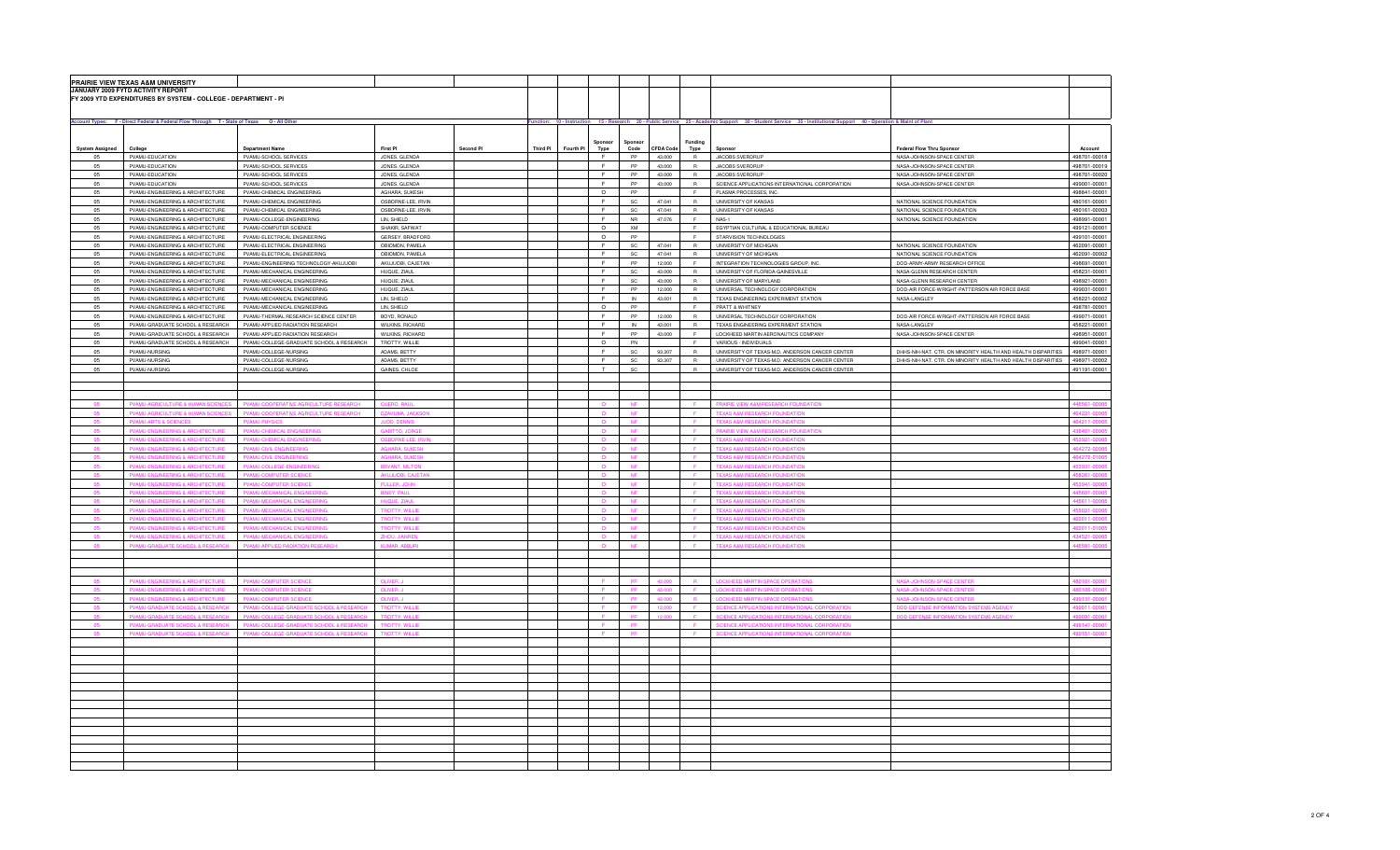|                        | PRAIRIE VIEW TEXAS A&M UNIVERSITY                                                         |                                                                           |                                  |           |          |           |                 |                              |                  |                 |                                                                                                                                                                    |                                                               |                              |
|------------------------|-------------------------------------------------------------------------------------------|---------------------------------------------------------------------------|----------------------------------|-----------|----------|-----------|-----------------|------------------------------|------------------|-----------------|--------------------------------------------------------------------------------------------------------------------------------------------------------------------|---------------------------------------------------------------|------------------------------|
|                        | JANUARY 2009 FYTD ACTIVITY REPORT                                                         |                                                                           |                                  |           |          |           |                 |                              |                  |                 |                                                                                                                                                                    |                                                               |                              |
|                        | FY 2009 YTD EXPENDITURES BY SYSTEM - COLLEGE - DEPARTMENT - PI                            |                                                                           |                                  |           |          |           |                 |                              |                  |                 |                                                                                                                                                                    |                                                               |                              |
|                        |                                                                                           |                                                                           |                                  |           |          |           |                 |                              |                  |                 |                                                                                                                                                                    |                                                               |                              |
|                        |                                                                                           |                                                                           |                                  |           |          |           |                 |                              |                  |                 |                                                                                                                                                                    |                                                               |                              |
|                        | Account Types: F - Direct Federal & Federal Flow Through T - State of Texas O - All Other |                                                                           |                                  |           |          |           |                 |                              |                  |                 | Function: 10 - Instruction 15 - Research 20 - Public Service 25 - Academic Support 30 - Student Service 35 - Institutional Support 40 - Operation & Maint of Plant |                                                               |                              |
|                        |                                                                                           |                                                                           |                                  |           |          |           |                 |                              |                  |                 |                                                                                                                                                                    |                                                               |                              |
| <b>System Assigned</b> | College                                                                                   | <b>Department Name</b>                                                    | First PI                         | Second PI | Third PI | Fourth PI | Sponsor<br>Type | Sponsor<br>Code              | <b>CFDA Code</b> | Funding<br>Type | Sponsor                                                                                                                                                            | Federal Flow Thru Sponsor                                     | Account                      |
| 05                     | PVAMU-EDUCATION                                                                           | PVAMU-SCHOOL SERVICES                                                     | JONES, GLENDA                    |           |          |           | F.              | PP                           | 43.000           | R               | JACOBS SVERDRUP                                                                                                                                                    | NASA-JOHNSON-SPACE CENTER                                     | 498701-00018                 |
| 05                     | PVAMU-EDUCATION                                                                           | PVAMU-SCHOOL SERVICES                                                     | JONES, GLENDA                    |           |          |           | F               | PP                           | 43,000           | R               | JACOBS SVERDRUP                                                                                                                                                    | NASA-JOHNSON-SPACE CENTER                                     | 498701-00019                 |
| 05                     | PVAMLEDUCATION                                                                            | PVAMU-SCHOOL SERVICES.                                                    | JONES GLENDA                     |           |          |           | F.              | PP                           | 43,000           | $\mathbb{R}$    | JACOBS SVERDBUP                                                                                                                                                    | NASA-JOHNSON-SPACE CENTER                                     | 498701-00020                 |
| 05                     | PVAMU-EDUCATION                                                                           | PVAMU-SCHOOL SERVICES                                                     | JONES, GLENDA                    |           |          |           | F               | PP                           | 43,000           | R.              | SCIENCE APPLICATIONS INTERNATIONAL CORPORATION                                                                                                                     | NASA-JOHNSON-SPACE CENTER                                     | 499001-00001                 |
| 05                     | PVAMU-ENGINEERING & ARCHITECTURE                                                          | PVAMU-CHEMICAL ENGINEERING                                                | AGHARA, SUKESH                   |           |          |           | $\circ$         | PP                           |                  |                 | PLASMA PROCESSES, INC.                                                                                                                                             |                                                               | 498841-00001                 |
| 05                     | PVAMU-ENGINEERING & ARCHITECTURE                                                          | PVAMU-CHEMICAL ENGINEERING                                                | OSBORNE-LEE, IRVIN               |           |          |           | $\mathbbmss{E}$ | $\mathbb{S}\mathbb{C}$       | 47.041           | $\overline{R}$  | UNIVERSITY OF KANSAS                                                                                                                                               | NATIONAL SCIENCE FOUNDATION                                   | 480161-00001                 |
| 05                     | PVAMU-ENGINEERING & ARCHITECTURE                                                          | PVAMU-CHEMICAL ENGINEERING                                                | OSBORNE-LEE, IRVIN               |           |          |           | $\mathbb F$     | $\operatorname{\textsf{SC}}$ | 47.041           | R               | UNIVERSITY OF KANSAS                                                                                                                                               | NATIONAL SCIENCE FOUNDATION                                   | 480161-00003                 |
| 05                     | PVAMU-ENGINEERING & ARCHITECTURE                                                          | PVAMU-COLLEGE-ENGINEERING                                                 | <b>IN SHIFLD</b>                 |           |          |           | F               | <b>NR</b>                    | 47.076           | F.              | <b>NAS-1</b>                                                                                                                                                       | NATIONAL SCIENCE FOUNDATION                                   | 498991-00001                 |
| 05                     | PVAMU-ENGINEERING & ARCHITECTURE                                                          | PVAMU-COMPUTER SCIENCE                                                    | SHAKIR, SAFWAT                   |           |          |           | $\circ$         | XM                           |                  | F.              | EGYPTIAN CULTURAL & EDUCATIONAL BUREAU                                                                                                                             |                                                               | 499121-00001                 |
| 05                     | PVAMU-ENGINEERING & ARCHITECTURE                                                          | PVAMU-ELECTRICAL ENGINEERING                                              | GERSEY, BRADFORD                 |           |          |           | $\circ$         | PP                           |                  | F.              | STARVISION TECHNOLOGIES                                                                                                                                            |                                                               | 499101-00001                 |
| 05                     | PVAMU-ENGINEERING & ARCHITECTURE                                                          | PVAMU-ELECTRICAL ENGINEERING                                              | OBIOMON, PAMELA                  |           |          |           | F               | SC                           | 47.041           | R               | UNIVERSITY OF MICHIGAN                                                                                                                                             | NATIONAL SCIENCE FOUNDATION                                   | 462091-00001                 |
| 05                     | PVAMU-ENGINEERING & ARCHITECTURE                                                          | PVAMU-ELECTRICAL ENGINEERING                                              | OBIOMON, PAMELA                  |           |          |           | F.              | SC                           | 47.041           | R               | UNIVERSITY OF MICHIGAN                                                                                                                                             | NATIONAL SCIENCE FOUNDATION                                   | 462091-00002                 |
| 05                     | PVAMU-ENGINEERING & ARCHITECTURE                                                          | PVAMU-ENGINEERING TECHNOLOGY-AKUJUOBI                                     | AKUJUOBI, CAJETAN                |           |          |           | E               | PP                           | 12,000           | F.              | INTEGRATION TECHNOLOGIES GROUP, INC.                                                                                                                               | DOD-ARMY-ARMY RESEARCH OFFICE                                 | 498691-00001                 |
| 05                     | PVAMU-ENGINEERING & ARCHITECTURE                                                          | PVAMU-MECHANICAL ENGINEERING                                              | HUQUE, ZIAUL                     |           |          |           | F               | <b>SC</b>                    | 43,000           | R               | UNIVERSITY OF FLORIDA-GAINESVILLE                                                                                                                                  | NASA-GLENN RESEARCH CENTER                                    | 458231-00001                 |
| 05                     | PVAMU-ENGINEERING & ARCHITECTURE                                                          | PVAMU-MECHANICAL ENGINEERING                                              | HUQUE, ZIAUL                     |           |          |           | F.              | $\mathbb{S}\mathbb{C}$       | 43.000           | R               | UNIVERSITY OF MARYLAND                                                                                                                                             | NASA-GLENN RESEARCH CENTER                                    | 498921-00001                 |
| 05                     | PVAMU-ENGINEERING & ARCHITECTURE                                                          | PVAMU-MECHANICAL ENGINEERING                                              | HUQUE, ZIAUL                     |           |          |           | $\mathbbmss{F}$ | PP                           | 12.000           | $\,$ R          | UNIVERSAL TECHNOLOGY CORPORATION                                                                                                                                   | DOD-AIR FORCE-WRIGHT-PATTERSON AIR FORCE BASE                 | 499031-00001                 |
| 05                     | PVAMU-ENGINEERING & ARCHITECTURE                                                          | PVAMU-MECHANICAL ENGINEERING                                              | LIN, SHIELD                      |           |          |           | $\mathbf{F}$    | $\textsf{IN}{}$              | 43.001           | $\mathsf{R}$    | TEXAS ENGINEERING EXPERIMENT STATION                                                                                                                               | NASA-LANGLEY                                                  |                              |
| 05                     | PVAMU-ENGINEERING & ARCHITECTURE                                                          | PVAMU-MECHANICAL ENGINEERING                                              | LIN, SHIELD                      |           |          |           | $\Omega$        | PP                           |                  | F               | PRATT & WHITNEY                                                                                                                                                    |                                                               | 458221-00002                 |
|                        |                                                                                           |                                                                           |                                  |           |          |           | E               |                              |                  |                 |                                                                                                                                                                    |                                                               | 498781-00001                 |
| 05<br>05               | PVAMU-ENGINEERING & ARCHITECTURE<br>PVAMU-GRADUATE SCHOOL & RESEARCH                      | PVAMU-THERMAL RESEARCH SCIENCE CENTER<br>PVAMU-APPLIED RADIATION RESEARCH | BOYD, RONALD<br>WILKINS, RICHARD |           |          |           | F               | PP<br>${\sf IN}$             | 12.000<br>43.001 | R<br>R          | UNIVERSAL TECHNOLOGY CORPORATION<br>TEXAS ENGINEERING EXPERIMENT STATION                                                                                           | DOD-AIR FORCE-WRIGHT-PATTERSON AIR FORCE BASE<br>NASA-LANGLEY | 499071-00001<br>458221-00001 |
| 05                     |                                                                                           | PVAMU-APPLIED RADIATION RESEARCH                                          | WILKINS, RICHARD                 |           |          |           | F.              | PP                           | 43.000           | F.              | LOCKHEED MARTIN AERONAUTICS COMPANY                                                                                                                                |                                                               | 498951-00001                 |
| 05                     | PVAMU-GRADUATE SCHOOL & RESEARCH<br>PVAMU-GRADUATE SCHOOL & RESEARCH                      | PVAMU-COLLEGE-GRADUATE SCHOOL & RESEARCH                                  | TROTTY, WILLIE                   |           |          |           | $\circ$         | PN                           |                  | F               | VARIOUS - INDIVIDUALS                                                                                                                                              | NASA-JOHNSON-SPACE CENTER                                     | 499041-00001                 |
| 05                     |                                                                                           |                                                                           | ADAMS, BETTY                     |           |          |           | F.              |                              |                  |                 |                                                                                                                                                                    |                                                               | 498971-00001                 |
|                        | PVAMU-NURSING                                                                             | PVAMU-COLLEGE-NURSING                                                     |                                  |           |          |           |                 | $\mathsf{SC}$                | 93,307           | R               | UNIVERSITY OF TEXAS-M.D. ANDERSON CANCER CENTER                                                                                                                    | DHHS-NIH-NAT. CTR. ON MINORITY HEALTH AND HEALTH DISPARITIES  |                              |
| 05                     | PVAMU-NURSING                                                                             | PVAMU-COLLEGE-NURSING                                                     | ADAMS, BETTY                     |           |          |           | E               | $\mathbb{S}\mathbb{C}$       | 93.307           | R               | UNIVERSITY OF TEXAS-M.D. ANDERSON CANCER CENTER                                                                                                                    | DHHS-NIH-NAT. CTR. ON MINORITY HEALTH AND HEALTH DISPARITIES  | 498971-00002                 |
| 05                     | PVAMU-NURSING                                                                             | PVAMU-COLLEGE-NURSING                                                     | GAINES, CHLOE                    |           |          |           | T               | $\mathsf{SC}$                |                  | $\mathsf{R}$    | UNIVERSITY OF TEXAS-M.D. ANDERSON CANCER CENTER                                                                                                                    |                                                               | 491191-00001                 |
|                        |                                                                                           |                                                                           |                                  |           |          |           |                 |                              |                  |                 |                                                                                                                                                                    |                                                               |                              |
|                        |                                                                                           |                                                                           |                                  |           |          |           |                 |                              |                  |                 |                                                                                                                                                                    |                                                               |                              |
|                        |                                                                                           |                                                                           |                                  |           |          |           |                 |                              |                  |                 |                                                                                                                                                                    |                                                               |                              |
|                        |                                                                                           | VAMILCOOPERATIVE A                                                        |                                  |           |          |           |                 |                              |                  |                 | <b>BAIRIE VIEW A&amp;M RESEARCH FOLINDATI</b>                                                                                                                      |                                                               | 5561-00                      |
|                        | VAMU-AGRICULTURE & HUMAN SCIENCE                                                          | PVAMU-COOPERATIVE AGRICULTURE RESEARCI                                    | DZAKUMA, JAC                     |           |          |           |                 |                              |                  |                 | <b>TEXAS A&amp;M RESEARCH FOUNDATION</b>                                                                                                                           |                                                               | 64221-000                    |
| 05                     | VAMU-ARTS & SCIENCES                                                                      | <b>PVAMU-PHYSICS</b>                                                      | <b>IUDD, DENN</b>                |           |          |           |                 | <b>NF</b>                    |                  |                 | TEXAS A&M RESEARCH FOUNDATIO                                                                                                                                       |                                                               | 64211-000                    |
|                        | VAMU-ENGINEERING & ARCHITE                                                                | PVAMU-CHEMICAL ENGINE                                                     | GABITTO, JORG                    |           |          |           |                 |                              |                  |                 | PRAIRIE VIEW A&M RESEARCH FOUNDAT                                                                                                                                  |                                                               | 38401-00                     |
|                        | /AMU-EN<br>ING & ARCHITE                                                                  | VAMU-CHEMICAL ENGINEER                                                    |                                  |           |          |           |                 |                              |                  |                 | <b>TEXAS A&amp;M RESEARCH FOUNDATI</b>                                                                                                                             |                                                               |                              |
|                        | <b>NG &amp; ARCHITE</b>                                                                   | <b>VAMU-CIVIL ENG</b>                                                     |                                  |           |          |           |                 |                              |                  |                 | <b>TEXAS A&amp;M RESEARCH FOUNDATI</b>                                                                                                                             |                                                               | 64272-0                      |
|                        |                                                                                           |                                                                           |                                  |           |          |           |                 |                              |                  |                 |                                                                                                                                                                    |                                                               | 64272-010                    |
|                        |                                                                                           |                                                                           |                                  |           |          |           |                 |                              |                  |                 |                                                                                                                                                                    |                                                               |                              |
|                        |                                                                                           |                                                                           |                                  |           |          |           |                 |                              |                  |                 |                                                                                                                                                                    |                                                               | nn. Facez                    |
|                        |                                                                                           | <b>PVAMILCOMPLITER SCIENCI</b>                                            | FULLER JO                        |           |          |           |                 |                              |                  |                 |                                                                                                                                                                    |                                                               | 33941-00                     |
|                        | <b>JAMILENGINEERING &amp; ARCHITECTUR</b>                                                 | PVAMLI-MECHANICAL ENGINEERIN                                              | BINEY, PAUL                      |           |          |           |                 |                              |                  |                 | TEXAS A&M RESEARCH FOUNDATIO                                                                                                                                       |                                                               | 15601-00005                  |
|                        | <b>AMU-ENGINEERING &amp; ARCHITECTURE</b>                                                 | PVAMU-MECHANICAL ENGINEERING                                              | HUQUE, ZIAU                      |           |          |           |                 |                              |                  |                 | <b>TEXAS A&amp;M RESEARCH FOUNDATION</b>                                                                                                                           |                                                               | 45611-00005                  |
| 05                     | VAMU-ENGINEERING & ARCHITECTURE                                                           | PVAMU-MECHANICAL ENGINEERING                                              | <b>TROTTY, WILLIE</b>            |           |          |           |                 |                              |                  |                 | <b>TEXAS A&amp;M RESEARCH FOUNDATION</b>                                                                                                                           |                                                               | 5021-00005                   |
|                        | AMU-ENGINEERING & ARCHITECTUR                                                             | VAMU-MECHANICAL ENGINEERING                                               | <b>ROTTY, WILLI</b>              |           |          |           |                 |                              |                  |                 | <b>TEXAS A&amp;M RESEARCH FOUNDATIO</b>                                                                                                                            |                                                               | 2011-00005                   |
|                        | AMU-ENGINEERING & ARCHITECTUF                                                             | VAMU-MECHANICAL ENGINEERING                                               | <b>ROTTY, WILLI</b>              |           |          |           |                 |                              |                  |                 | <b>TEXAS A&amp;M RESEARCH FOUNDATIO</b>                                                                                                                            |                                                               | 2011-01005                   |
|                        | AMU-ENGINEERING & ARCHITEC                                                                | VAMU-MECHANICAL ENGINEER                                                  |                                  |           |          |           |                 |                              |                  |                 | TEXAS A&M RESEARCH FOUNDAT                                                                                                                                         |                                                               |                              |
|                        |                                                                                           |                                                                           | <b>VIIMAD ADDIID</b>             |           |          |           |                 |                              |                  |                 |                                                                                                                                                                    |                                                               | 45581-00005                  |
|                        |                                                                                           |                                                                           |                                  |           |          |           |                 |                              |                  |                 |                                                                                                                                                                    |                                                               |                              |
|                        |                                                                                           |                                                                           |                                  |           |          |           |                 |                              |                  |                 |                                                                                                                                                                    |                                                               |                              |
|                        |                                                                                           |                                                                           |                                  |           |          |           |                 |                              |                  |                 |                                                                                                                                                                    |                                                               |                              |
|                        | VAMILENGINEERING & ARCHITECTUE                                                            | PVAMLI-COMPLITER SCIENCI                                                  | OLIVER.                          |           |          |           |                 |                              |                  |                 | OCKHEED MARTIN SPACE OPERATION                                                                                                                                     | <b>JASA-JOHNSON-SPACE CENTER</b>                              | 101-00                       |
| 05                     | VAMU-ENGINEERING & ARCHITECTURE                                                           | PVAMU-COMPUTER SCIENCE                                                    | OLIVER.                          |           |          |           |                 |                              | 43,000           |                 | <b>LOCKHEED MARTIN SPACE OPERATIONS</b>                                                                                                                            | VASA-JOHNSON-SPACE CENTER                                     | 80106-0000                   |
| 05                     | <b>PVAMU-ENGINEERING &amp; ARCHITECTURE</b>                                               | PVAMU-COMPUTER SCIENCE                                                    | OLIVER, J                        |           |          |           |                 | <b>PP</b>                    | 43.000           | R               | <b>LOCKHEED MARTIN SPACE OPERATIONS</b>                                                                                                                            | <b>NASA-JOHNSON-SPACE CENTER</b>                              | 99131-0000                   |
|                        | VAMU-GRADUATE SCHOOL & RESEARCI                                                           | PVAMU-COLLEGE-GRADUATE SCHOOL & RESEARCH                                  | TROTTY, WILL                     |           |          |           |                 |                              | 12.000           |                 | SCIENCE APPLICATIONS INTERNATIONAL C<br>RATION                                                                                                                     | OD-DEFENSE INFORMATION SYSTEMS AGEN                           | 19011-000                    |
|                        | /AMU-GRADUATE SCHOOL & RESEARO                                                            | PVAMU-COLLEGE-GRADUATE SCHOOL & RESEARCH                                  | TROTTY, WILL                     |           |          |           |                 |                              |                  |                 | CIENCE APPLICATIONS INTERNATIONAL                                                                                                                                  | <b>DD-DEFENSE INFORMATION SYSTEMS AGE</b>                     |                              |
|                        |                                                                                           | 'VAMU-COLLEG                                                              |                                  |           |          |           |                 |                              |                  |                 | NCE APPLICATIONS INTEF                                                                                                                                             |                                                               |                              |
|                        | <b>ATE SCHOOL &amp; RE</b>                                                                | PVAMU-COLLEGE-GRADUATE SCHOOL & RESEARCH                                  | <b>TTY. WILLI</b>                |           |          |           |                 |                              |                  |                 | <b>ENCE APPLICATIONS INTERI</b>                                                                                                                                    |                                                               |                              |
|                        |                                                                                           |                                                                           |                                  |           |          |           |                 |                              |                  |                 |                                                                                                                                                                    |                                                               |                              |
|                        |                                                                                           |                                                                           |                                  |           |          |           |                 |                              |                  |                 |                                                                                                                                                                    |                                                               |                              |
|                        |                                                                                           |                                                                           |                                  |           |          |           |                 |                              |                  |                 |                                                                                                                                                                    |                                                               |                              |
|                        |                                                                                           |                                                                           |                                  |           |          |           |                 |                              |                  |                 |                                                                                                                                                                    |                                                               |                              |
|                        |                                                                                           |                                                                           |                                  |           |          |           |                 |                              |                  |                 |                                                                                                                                                                    |                                                               |                              |
|                        |                                                                                           |                                                                           |                                  |           |          |           |                 |                              |                  |                 |                                                                                                                                                                    |                                                               |                              |
|                        |                                                                                           |                                                                           |                                  |           |          |           |                 |                              |                  |                 |                                                                                                                                                                    |                                                               |                              |
|                        |                                                                                           |                                                                           |                                  |           |          |           |                 |                              |                  |                 |                                                                                                                                                                    |                                                               |                              |
|                        |                                                                                           |                                                                           |                                  |           |          |           |                 |                              |                  |                 |                                                                                                                                                                    |                                                               |                              |
|                        |                                                                                           |                                                                           |                                  |           |          |           |                 |                              |                  |                 |                                                                                                                                                                    |                                                               |                              |
|                        |                                                                                           |                                                                           |                                  |           |          |           |                 |                              |                  |                 |                                                                                                                                                                    |                                                               |                              |
|                        |                                                                                           |                                                                           |                                  |           |          |           |                 |                              |                  |                 |                                                                                                                                                                    |                                                               |                              |
|                        |                                                                                           |                                                                           |                                  |           |          |           |                 |                              |                  |                 |                                                                                                                                                                    |                                                               |                              |
|                        |                                                                                           |                                                                           |                                  |           |          |           |                 |                              |                  |                 |                                                                                                                                                                    |                                                               |                              |
|                        |                                                                                           |                                                                           |                                  |           |          |           |                 |                              |                  |                 |                                                                                                                                                                    |                                                               |                              |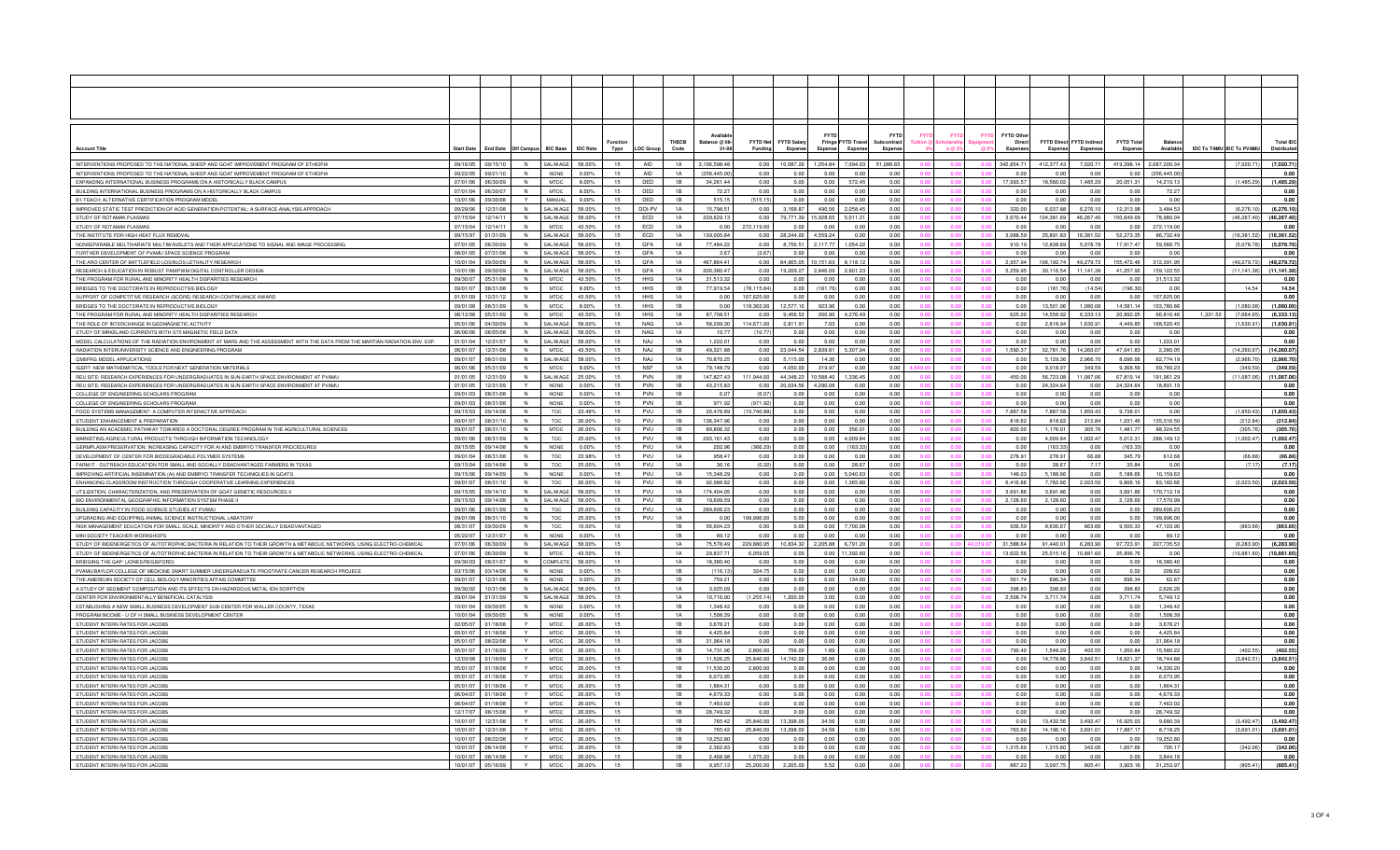|                                                                                                                                                                                |                      |                               |                              |                            |                    |                 |                    | THECB           | alance @ 08-           | <b>FYTD Net</b><br><b>FYTD Salar</b>   |                  | Fringe FYTD Travel         | <b>FYTD</b><br>ontract |  | <b>FYTD Othe</b><br>Direc | FYTD Direct FYTD Indired |                       | <b>FYTD Tota</b>      |                             | <b>Total IDC</b>                                      |
|--------------------------------------------------------------------------------------------------------------------------------------------------------------------------------|----------------------|-------------------------------|------------------------------|----------------------------|--------------------|-----------------|--------------------|-----------------|------------------------|----------------------------------------|------------------|----------------------------|------------------------|--|---------------------------|--------------------------|-----------------------|-----------------------|-----------------------------|-------------------------------------------------------|
| <b>Account Title</b>                                                                                                                                                           | <b>Start Date</b>    |                               | End Date Off Campus IDC Base |                            | <b>IDC Rate</b>    | Type            | <b>LOC Group</b>   | Code            | $31 - 08$              | Funding<br>Expen                       | Expense          | <b>Expens</b>              | Expe                   |  | <b>Expens</b>             | Expense                  | Expens                | Expen                 | Available                   | <b>IDC To TAMU IDC To PVAMU</b><br><b>Distributed</b> |
|                                                                                                                                                                                | 09/16/05             |                               |                              |                            | 58.00%             | 15              | <b>AID</b>         | 1A              | 3.106.598.48           |                                        | .254.84          |                            | 51.086.65              |  | 342.854.71                | 412.377.43               |                       |                       |                             |                                                       |
| INTERVENTIONS PROPOSED TO THE NATIONAL SHEEP AND GOAT IMPROVEMENT PROGRAM OF ETHIOPI/<br>INTERVENTIONS PROPOSED TO THE NATIONAL SHEEP AND GOAT IMPROVEMENT PROGRAM OF ETHIOPI/ | 09/22/05             | 09/15/10<br>09/21/10          | N                            | SAL/WAG<br><b>NONE</b>     | 0.00%              | 15              | AID.               | $1\Delta$       | (256,445.00            | 0.00<br>10,087.20<br>0.00<br>0.00      | 0.00             | 7,094.03<br>0.0            | 0.00                   |  | n nn                      | n nr                     | 7,020.71<br>0.00      | 419,398.14<br>0.00    | 2,687,200.34<br>(256,445.00 | (7,020.71)<br>(7,020.71)<br>0.00                      |
| EXPANDING INTERNATIONAL BUSINESS PROGRAMS ON A HISTORICALLY BLACK CAMPUS                                                                                                       | 07/01/06             | 06/30/09                      |                              | <b>MTDC</b>                | 8.00%              | 15              | DED                | 1B              | 34.261.44              | 0.00<br>0.00                           | 0.00             | 572.45                     | 0.00                   |  | 17,993.57                 | 18.566.02                | 1.485.29              | 20,051.3              | 14 210 13                   | (1,485.29)<br>(1,485.29)                              |
| BUILDING INTERNATIONAL BUSINESS PROGRAMS ON A HISTORICALLY BLACK CAMPUS                                                                                                        |                      | 07/01/04 06/30/07             | N                            | <b>MTDC</b>                | 8.00%              | 15              | DED                | 1B              | 72.27                  | 0.00<br>0.00                           | 0.00             | 0.00                       | 0.00                   |  | 0.00                      | 0.00                     | 0.00                  | 0.00                  | 72.27                       | 0.00                                                  |
| B1-TEACH: ALTERNATIVE CERTIFICATION PROGRAM MODEL                                                                                                                              |                      | 10/01/06 09/30/08             | Y                            | MANUAL                     | $0.00\%$           | 15              | DED                | 1B              | 515.15                 | (515.15)<br>0.00                       | 0.00             | 0.00                       | 0.00                   |  | 0.00                      | 0.00                     | 0.00                  | 0.00                  | 0.00                        | 0.00                                                  |
| IMPROVED STATIC TEST PREDICTION OF ACID GENERATION POTENTIAL: A SURFACE ANALYSIS APPROACH                                                                                      | 09/29/06             | 12/31/08                      | N                            | SAL WAGE                   | 58.00%             | 15              | DOI-PV             | <b>1A</b>       | 15 798 51              | 0.00<br>3 168 87                       | 490.56           | 2.058.45                   | 0.00                   |  | 320.00                    | 6.037.88                 | 6.276.10              | 12.313.98             | 3 4 8 4 5 3                 | (6.276, 10)<br>(6.276.10)                             |
| STUDY OF ROTAMAK PLASMAS                                                                                                                                                       | 07/15/04             | 12/14/11                      | N.                           | SAI / WAGE                 | 58.00%             | 15              | FCD.               | 1 A             | 229 629 13             | 0.00<br>79 771 39                      | 5.928.65         | 5.011.21                   | 0.00                   |  | 3.670.44                  | 104 381 69               | 46 267 40             | 150,649.09            | 78.980.04                   | (46.267.40)<br>(46.267.40)                            |
| STUDY OF ROTAMAK PLASMAS                                                                                                                                                       | 07/15/04             | 12/14/11                      | N                            | <b>MTDC</b>                | 43.50%             | 15              | ECD                | 1A              | 0.00                   | 272.119.00<br>0.00                     | 0.00             | 0.00                       | 0.00                   |  | 0.00                      | 0.00                     | 0.00                  | 0.00                  | 272.119.00                  | 0.00                                                  |
| THE INSTITUTE FOR HIGH HEAT FLUX REMOVAL                                                                                                                                       | 09/15/97             | 01/31/09                      |                              | <b>SAL/WAGE</b>            | 58.00%             | 15              | ECD                | 1A              | 139.005.84             | 0.00<br>28.244.00                      | 4.559.24         | 0.00                       | 0.00                   |  | 3.088.59                  | 35.891.83                | 16.381.52             | 52.273.35             | 86.732.49                   | (16.381.52)<br>(16.381.52)                            |
| NONSEPARABLE MULTIVARIATE MULTIWAVELETS AND THEIR APPLICATIONS TO SIGNAL AND IMAGE PROCESSING<br>FURTHER DEVELOPMENT OF PVAMU SPACE SCIENCE PROGRAM                            | 07/01/05<br>08/01/05 | 06/30/09<br>07/31/08          | N                            | SAL/WAGE<br>SAI / WAGE     | 58.00%<br>58.00%   | 15<br>15        | GFA<br>GFA         | 1A<br>1 A       | 77,484.22              | 0.00<br>8,756.51<br>0.00               | 2.117.77<br>0.00 | 1,054.22                   | 0.00<br>0.00           |  | 910.19                    | 12,838.69<br>0.00        | 5,078.78<br>0.00      | 17.917.47<br>0.00     | 59,566.75<br>0.00           | (5,078.78)<br>(5,078.78)<br>0.00                      |
| THE ARO CENTER OF BATTLEFIELD LOS/BLOS LETHALITY RESEARCH                                                                                                                      | 10/01/04             | 09/30/09                      | N                            | SAL WAGE                   | 58.00%             | 15              | <b>GFA</b>         | 1A              | 3.67<br>467 864 41     | (3.67)<br>0.00<br>84 965 05            |                  | 0.00<br>$0.15163$ 8.118.12 | 0.00                   |  | 0.00<br>2.957.94          | 106 192 74               | 49 279 72             | 155 472 46            | 312.391.95                  | $(49.279.72)$ $(49.279.72)$                           |
| RESEARCH & EDUCATION IN ROBUST PAMPWM DIGITAL CONTROLLER DESIGN                                                                                                                | 10/01/06             | 09/30/09                      | N                            | SAL/WAGE                   | 58.00%             | 15              | GFA                | 1 A             | 200,380.47             | 0.00<br>19,209.27                      | 2.846.09         | 2.801.23                   | 0.00                   |  | 5.259.95                  | 30.116.54                | 11.141.38             | 41.257.92             | 159.122.55                  | (11.141.38)<br>(11.141.38)                            |
| THE PROGRAM FOR RURAL AND MINORITY HEALTH DISPARITIES RESEARCH                                                                                                                 | 09/30/07             | 05/31/08                      | N                            | <b>MTDC</b>                | 43.50%             | 15              | <b>HHS</b>         | <b>1A</b>       | 31.513.32              | 0.00<br>0.00                           | 0.00             | 0.00                       | 0.00                   |  | 0.00                      | 0.00                     | 0.00                  | 0.00                  | 31.513.32                   | 0.00                                                  |
| BRIDGES TO THE DOCTORATE IN REPRODUCTIVE BIOLOGY                                                                                                                               |                      | 09/01/07 08/31/08             | N                            | <b>MTDC</b>                | 8.00%              | 15              | <b>HHS</b>         | 1B              | 77,919.54              | (78, 115.84)<br>0.00                   | (181.76)         | 0.00                       | 0.00                   |  | 0.00                      | (181.76)                 | (14.54)               | (196.30)              | 0.00                        | 14.54<br>14.54                                        |
| SUPPORT OF COMPETITIVE RESEARCH (SCORE) RESEARCH CONTINUANCE AWARD                                                                                                             | 01/01/09             | 12/31/12                      | N                            | <b>MTDC</b>                | 43.50%             | 15              | <b>HHS</b>         | <b>1A</b>       | 0.00                   | 107,625.00<br>0.00                     | 0.00             | 0.00                       | 0.00                   |  | 0.00                      | 0.00                     | 0.00                  | 0.00                  | 107,625.00                  | 0.00                                                  |
| BRIDGES TO THE DOCTORATE IN REPRODUCTIVE BIOLOGY.                                                                                                                              | 09/01/08             | 08/31/09                      | N                            | MTDC                       | 8.00%              | 15              | <b>HHS</b>         | 1B              | 0.00                   | 118.362.00<br>12.577.10                | 923.96           | 0.00                       | 0.00                   |  | 0.00                      | 13.501.06                | 1.080.08              | 14 581 14             | 103.780.86                  | (1.080.08)<br>(1.080.08)                              |
| THE PROGRAM FOR RURAL AND MINORITY HEALTH DISPARITIES RESEARCH                                                                                                                 | 06/12/08             | 05/31/09                      | N                            | <b>MTDC</b>                | 43.50%             | 15              | <b>HHS</b>         | <b>1A</b>       | 87.708.51              | 9.456.53<br>0.00                       | 200.90           | 4.276.49                   | 0.00                   |  | 625.00                    | 14.558.92                | 6,333.13              | 20.892.05             | 66.816.46                   | (6, 333.13)<br>1,331.52<br>(7.664.65)                 |
| THE ROLE OF INTERCHANGE IN GEOMAGNETIC ACTIVITY                                                                                                                                | 05/01/06             | 04/30/09                      |                              | <b>SAL/WAG</b>             | 58.00%             | 15              | <b>NAG</b>         | 1A              | 58,299.30              | 114,671.00<br>2.811.91                 | 7.03             | 0.00                       | 0.00                   |  | 0.00                      | 2.818.94                 | 1,630.91              | 4,449.85              | 168.520.45                  | (1,630.91)<br>(1,630.91)                              |
| STUDY OF BIRKELAND CURRENTS WITH ST5 MAGNETIC FIELD DATA                                                                                                                       | 06/06/06             | 06/05/08                      |                              | <b>SAL/WAG</b>             | 58.00%             | 15              | <b>NAG</b>         | 1A              | 10.77                  | (10.7)<br>0.00                         | 0.00             | 0.00                       | 0.00                   |  | 0.00                      | 0.00                     | 0.00                  | 0.0                   | 0.00                        | 0.00                                                  |
| MODEL CALCULATIONS OF THE RADIATION ENVIRONMENT AT MARS AND THE ASSESSMENT WITH THE DATA FROM THE MARTIAN RADIATION ENV. EXP                                                   | 01/01/04             | 12/31/07                      |                              | SAL/WAG                    | 58.00%             | 15              | <b>NAJ</b>         | 1A              | 1,222.0                | 0.00<br>0.00                           | 0.00             | 0.00                       | 0.00                   |  | 0.00                      | 0.00                     | 0.00                  | 0.00                  | 1,222.01                    | 0.00                                                  |
| RADIATION INTERUNIVERSITY SCIENCE AND ENGINEERING PROGRAM<br>OMSFRG MODEL APPLICATIONS                                                                                         | 06/01/07             | 12/31/08<br>09/01/07 08/31/09 | - N<br>N                     | MTDC<br>SALWAGE            | 43.50%<br>58.00%   | 15<br>15        | NA.I<br><b>NAJ</b> | 1B<br><b>1A</b> | 49 321 88<br>70.870.25 | 0.00<br>23.044.54<br>5.115.00<br>0.00  | 283981<br>14.36  | 5.307.04<br>0.00           | 0.00<br>0.00           |  | 1.590.37<br>0.00          | 32 781 76<br>5.129.36    | 14 260 07<br>2.966.70 | 47 041 83<br>8.096.06 | 2,280.05<br>62,774.19       | (14, 260.07)<br>(14.260.07)<br>(2.966.70)             |
| IGERT: NEW MATHEMATICAL TOOLS FOR NEXT GENERATION MATERIALS                                                                                                                    |                      | 06/01/06 05/31/09             |                              | <b>MTDC</b>                | 8.00%              | 15              | <b>NSF</b>         | <b>1A</b>       | 79.148.79              | 0.00<br>4.050.00                       | 319.97           | 0.00                       | 0.00                   |  | 0.00                      | 9.018.97                 | 349.59                | 9,368.56              | 69,780.23                   | (2,966.70)<br>(349.59)<br>(349.59)                    |
| REU SITE: RESEARCH EXPERIENCES FOR UNDERGRADUATES IN SUN-EARTH SPACE ENVIRONMENT AT PVAMU                                                                                      | 01/01/05             | 12/31/09                      | N                            | SAL/WAGE                   | 25.00%             | 15              | PVN                | 1B              | 147,827.43             | 111,944.00<br>44,348.23                | 10,588.40        | 1,336.45                   | 0.00                   |  | 450.00                    | 56,723.08                | 11,087.06             | 67,810.14             | 191,961.29                  | $(11,087.06)$ $(11,087.06)$                           |
| REU SITE: RESEARCH EXPERIENCES FOR UNDERGRADUATES IN SUN-EARTH SPACE ENVIRONMENT AT PVAMU                                                                                      | 01/01/05             | 12/31/09                      | Y                            | <b>NONE</b>                | 0.00%              | 15              | PVN                | 1B              | 43,215.83              | 20,034.56<br>0.00                      | 4,290.08         | 0.00                       | 0.00                   |  | 0.00                      | 24,324.64                | 0.00                  | 24,324.64             | 18,891.19                   | 0.00                                                  |
| COLLEGE OF ENGINEERING SCHOLARS PROGRAM                                                                                                                                        |                      | 09/01/03 08/31/08             | N                            | NONE                       | 0.00%              | 15              | PVN                | 1B              | 6.07                   | (6.07)<br>0.00                         | 0.00             | 0.00                       | 0.00                   |  | 0.00                      | 0.00                     | 0.00                  | 0.00                  | 0.00                        | 0.00                                                  |
| COLLEGE OF ENGINEERING SCHOLARS PROGRAM                                                                                                                                        | 09/01/03             | 08/31/08                      | N                            | <b>NONE</b>                | $0.00\%$           | 15              | PVN                | 1B              | 971.92                 | (971.92)<br>0.00                       | 0.00             | 0.00                       | 0.00                   |  | 0.00                      | 0.00                     | 0.00                  | 0.00                  | 0.00                        | 0.00                                                  |
| FOOD SYSTEMS MANAGEMENT: A COMPUTER INTERACTIVE APPROACH                                                                                                                       | 09/15/03             | 09/14/08                      |                              | TDC                        | 23.46%             | 15              | PVU                | 1B              | 20.478.89              | 0,740.88)<br>0.00                      | 0.00             | 0.00                       | 0.00                   |  | 7.887.58                  | 7.887.58                 | .850.43               | 9,738.0               | 0.00                        | 1.850.43<br>(1.850.43)                                |
| STUDENT ENHANCEMENT & PREPARATION                                                                                                                                              | 09/01/07             | 08/31/10                      | N.                           | TDC.                       | 26,00%             | 10 <sup>1</sup> | PVII               | 1B              | 136 347 96             | 0.00<br>0.00                           | 0.00             | 0.00                       | 0.00                   |  | 818.62                    | 818.62                   | 212.84                | 1.031.46              | 135 316 50                  | (212.84)<br>(212.84)                                  |
| BUILDING AN ACADEMIC PATHWAY TOWARDS A DOCTORAL DEGREE PROGRAM IN THE AGRICULTURAL SCIENCES                                                                                    | 09/01/07             | 08/31/10                      | N                            | <b>MTDC</b>                | 26.00%             | 10<br>15        | PVU                | 1B              | 89,806.32              | 0.00<br>0.00                           | 0.00             | 356.01                     | 0.00                   |  | 820.00                    | 1.176.01                 | 305.76                | 1.481.7               | 88,324.55                   | (305, 76)<br>(305.76)                                 |
| MARKETING AGRICULTURAL PRODUCTS THROUGH INFORMATION TECHNOLOGY<br>GERMPLASM PRESERVATION: INCREASING CAPACITY FOR AI AND EMBRYO TRANSFER PROCEDURES                            | 09/01/06             | 08/31/09<br>09/15/05 09/14/08 | N<br>N                       | TDC<br><b>NONE</b>         | 25.00%<br>$0.00\%$ | 15              | PVU<br>PVU         | 1B<br><b>1A</b> | 293.161.43<br>202.96   | 0.00<br>0.00<br>(366.29)<br>0.00       | 0.00<br>0.00     | 4,009.84<br>(163.33)       | 0.00<br>0.00           |  | 0.00<br>0.00              | 4,009.84<br>(163.33)     | 1,002.47<br>0.00      | 5,012.31<br>(163.33)  | 288.149.12<br>0.00          | (1,002.47)<br>(1.002.47)<br>0.00                      |
| DEVELOPMENT OF CENTER FOR BIODEGRADABLE POLYMER SYSTEMS                                                                                                                        | 09/01/04             | 08/31/08                      | N                            | TDC                        | 23.98%             | 15              | PVU                | <b>1A</b>       | 958.47                 | 0.00<br>0.00                           | 0.00             | 0.00                       | 0.00                   |  | 278.91                    | 278.91                   | 66.88                 | 345.79                | 612.68                      | (66.88)<br>(66.88)                                    |
| FARM IT - OUTREACH EDUCATION FOR SMALL AND SOCIALLY DISADVANTAGED FARMERS IN TEXAS                                                                                             | 09/15/04             | 09/14/08                      | N                            | TDC.                       | 25.00%             | 15              | PVII               | <b>1A</b>       | 36.16                  | (0.32)<br>0.00                         | 0.00             | 28.67                      | 0.00                   |  | 0.00                      | 28.67                    | 7.17                  | 35.84                 | 0.00                        | (7.17)<br>(7.17)                                      |
| IMPROVING ARTIFICIAL INSEMINATION (AI) AND EMBRYO TRANSFER TECHNIQUES IN GOATS                                                                                                 | 09/15/06             | 09/14/09                      | N                            | <b>NONE</b>                | 0.00%              | 15              | <b>PVU</b>         | 1A              | 15.348.29              | 0.00<br>0.00                           | 0.00             | 5.040.63                   | 0.00                   |  | 148.03                    | 5.188.66                 | 0.00                  | 5.188.66              | 10.159.63                   | 0.00                                                  |
| ENHANCING CLASSROOM INSTRUCTION THROUGH COOPERATIVE LEARNING EXPERIENCES                                                                                                       | 09/01/07             | 08/31/10                      | N                            | <b>TDC</b>                 | 26.00%             | 10              | PVU                | 1B              | 92.988.82              | 0.00<br>0.00                           | 0.00             | 1.365.80                   | 0.00                   |  | 6,416.86                  | 7.782.66                 | 2.023.50              | 9,806.16              | 83.182.66                   | (2,023.50)<br>(2.023.50)                              |
| UTILIZATION, CHARACTERIZATION, AND PRESERVATION OF GOAT GENETIC RESOURCES II                                                                                                   | 09/15/05             | 09/14/10                      |                              | <b>SAL/WAGE</b>            | 58.00%             | 15              | PVU                | 1A              | 174,404.05             | 0.00<br>0.00                           | 0.00             | 0.00                       | 0.00                   |  | 3.691.86                  | 3.691.86                 | 0.00                  | 3.691.86              | 170.712.19                  | 0.00                                                  |
| BIO ENVIRONMENTAL GEOGRAPHIC INFORMATION SYSTEM PHASE II                                                                                                                       | 09/15/03             | 09/14/08                      |                              | SAL/WAGE                   | 58.00%             | 15              | PVU                | 1B              | 19,699.59              | 0.00<br>0.00                           | 0.00             | 0.00                       | 0.00                   |  | 2,128.60                  | 2,128.60                 | 0.00                  | 2,128.60              | 17,570.99                   | 0.00                                                  |
| BUILDING CAPACITY IN FOOD SCIENCE STUDIES AT PVAMU                                                                                                                             | 09/01/06             | 08/31/09                      | N                            | TDC                        | 25.00%             | 15              | PVU                | 1 A             | 289,606.23             | 0.00<br>0.00                           | 0.00             | 0.00                       | 0.00                   |  | 0.00                      | 0.00                     | 0.00                  | 0.00                  | 289,606.23                  | 0.00                                                  |
| LIPGRADING AND FOLLIPPING ANIMAL SCIENCE INSTRUCTIONAL LABATORY                                                                                                                | 09/01/08             | 08/31/10                      | N                            | TDC.                       | 25.00%             | 15              | PVII               | 1 A             | 0.00                   | 199,996.00<br>0.00                     | 0.00             | 0.00                       | 0.00                   |  | 0.00                      | 0.00                     | 0.00                  | 0.00                  | 199,996.00                  | 0.00                                                  |
| RISK MANAGEMENT EDUCATION FOR SMALL SCALE, MINORITY AND OTHER SOCIALLY DISADVANTAGED<br>MINI SOCIETY TEACHER WORKSHOPS                                                         | 08/31/07             | 09/30/09<br>12/31/07          | N<br>N                       | <b>TDC</b><br><b>NONE</b>  | 10.00%<br>0.00%    | 10<br>15        |                    | 1B<br>1B        | 56.604.23<br>89.12     | 0.00<br>0.00<br>0.00<br>0.00           | 0.00<br>0.00     | 7,700.08<br>0.00           | 0.00<br>0.00           |  | 936.59<br>0.00            | 8,636.67<br>0.00         | 863.66<br>0.00        | 9.500.33<br>0.00      | 47,103.90<br>89.12          | (863, 66)<br>(863.66)<br>0.00                         |
| STUDY OF BIOENERGETICS OF AUTOTROPHIC BACTERIA IN RELATION TO THEIR GROWTH & METABOLIC NETWORKS, USING ELECTRO-CHEMICAL                                                        | 05/22/07<br>07/01/06 | 06/30/09                      | N                            | SAL/WAGE                   | 58.00%             | 15              |                    | <b>1A</b>       | 75,578.49              | 229,880.95<br>10,834.32                |                  | 2,205.88 6,791.20          | 0.00                   |  | 31,588.64                 | 91,440.01                | 6,283.90              | 97,723.9              |                             | (6, 283.90)<br>(6, 283.90)                            |
| STUDY OF BIOENERGETICS OF AUTOTROPHIC BACTERIA IN RELATION TO THEIR GROWTH & METABOLIC NETWORKS, USING ELECTRO-CHEMICAL                                                        | 07/01/06             | 06/30/09                      | N                            | <b>MTDC</b>                | 43.50%             | 15              |                    | <b>1A</b>       | 29,837.71              | 6,059.05<br>0.00                       |                  | 0.00 11,392.60             | 0.00                   |  | 13,622.56                 | 25,015.16                | 10,881.60             | 35,896.76             | 207,735.53<br>0.00          | (10, 881.60)<br>(10,881.60)                           |
| BRIDGING THE GAP: (JONES/REGISFORD)                                                                                                                                            |                      | 09/30/03 08/31/07             | N                            | COMPLETE                   | 58.00%             | 15              |                    | 1 A             | 18 380 40              | 0.00<br>0.00                           | 0.00             | 0.00                       | 0.00                   |  | 0.00                      | 0.00                     | 0.00                  | 0.00                  | 18.380.40                   | 0.00                                                  |
| PVAMU/BAYLOR COLLEGE OF MEDICINE SMART SUMMER UNDERGRADUATE PROSTRATE CANCER RESEARCH PROJECE                                                                                  | 03/15/06             | 03/14/08                      | N                            | <b>NONE</b>                | 0.00%              | 15              |                    | 1B              | (116.13)               | 324.75<br>0.00                         | 0.00             | 0.00                       | 0.00                   |  | 0.00                      | 0.00                     | 0.00                  | 0.00                  | 208.62                      | 0.00                                                  |
| THE AMERICAN SOCIETY OF CELL BIOLOGY MINORITIES AFFAIS COMMITTEE                                                                                                               | 09/01/07             | 12/31/08                      |                              | NONE                       | $0.00\%$           |                 |                    | 1B              | 759.21                 | 0.00<br>0.00                           | 0.00             | 134.60                     | 0.00                   |  | 561.74                    | 696.34                   | 0.00                  | 696.34                | 62.87                       | 0.00                                                  |
| A STUDY OF SEDIMENT COMPOSITION AND ITS EFFECTS ON HAZARDOUS METAL ION SORPTION                                                                                                | 09/30/02             | 10/31/08                      |                              | AL/WAGE                    | 58.00%             | 15              |                    | <b>1A</b>       | 3,025.09               | 0.00<br>0.00                           | 0.00             | 0.00                       | 0.00                   |  | 398.83                    | 398.83                   | 0.00                  | 398.83                | 2,626.26                    | 0.00                                                  |
| CENTER FOR ENVIRONMENTALLY BENEFICIAL CATALYS                                                                                                                                  | 09/01/04             | 01/31/09                      |                              | SAL/WAG                    | 58.00%             | 15              |                    | 1 A             | 10.716.00              | 1,255.14<br>,200.00                    | 3.00             | 0.00                       | 0.00                   |  | 250874                    | 371174                   | 0.00                  | 3 711 74              | 5.749.12                    | 0.00                                                  |
| ESTABLISHING A NEW SMALL BUSINESS DEVELOPMENT SUB-CENTER FOR WALLER COUNTY, TEXAS                                                                                              | 10/01/04             | 09/30/05                      | N                            | NONE                       | 0.00%              | 15              |                    | 1B              | 1.348.42               | 0.00<br>0.00                           | 0.00 l           | 0.00                       | 0.00                   |  | 0.00                      | 0.00                     | 0.00                  | 0.00                  | 1.348.42                    | 0.00                                                  |
| PROGRAM INCOME - U OF H SMALL BUSINESS DEVELOPMENT CENTER                                                                                                                      |                      | 10/01/04 09/30/05             | N                            | NONE                       | 0.00%              | 15<br>15        |                    | 1A<br>1B        | 1,508.39               | 0.00<br>0.00                           | 0.00             | 0.00                       | 0.00<br>0.00           |  | 0.00                      | 0.00                     | 0.00                  | 0.00                  | 1.508.39                    | 0.00                                                  |
| STUDENT INTERN RATES FOR JACOBS<br>STUDENT INTERN RATES FOR JACOB                                                                                                              | 02/05/07<br>05/01/07 | 01/18/08<br>01/18/08          | $\vee$                       | <b>MTDC</b><br><b>MTDC</b> | 26.00%<br>26.00%   | 15              |                    | 1B              | 3,678.21<br>4,425.84   | 0.00<br>0.00<br>0.00<br>0.00           | 0.00<br>0.00     | 0.00<br>0.00               | 0.00                   |  | 0.00<br>0.00              | 0.00<br>0.00             | 0.00<br>0.00          | 0.00<br>0.00          | 3,678.21<br>4,425.84        | 0.00<br>0.00                                          |
| STUDENT INTERN RATES FOR JACOBS                                                                                                                                                | 05/01/07             | 08/22/08                      |                              | <b>MTDC</b>                | 26.00%             | 15              |                    | 1B              | 31,964.18              | 0.00<br>0.00                           | 0.00             | 0.00                       | 0.00                   |  | 0.00                      | 0.00                     | 0.00                  | 0.00                  | 31.964.18                   | 0.00                                                  |
| STUDENT INTERN BATES FOR JACORS                                                                                                                                                | 05/01/07             | 01/16/09                      |                              | MTDC                       | 26.00%             | 15              |                    | 1B              | 14.731.06              | 2,800.00<br>756.00                     | 1.89             | 0.00                       | 0.00                   |  | 790.40                    | 1.548.29                 | 402.55                | 1,950.84              | 15.580.22                   | (402.55)<br>(402.55)                                  |
| STUDENT INTERN RATES FOR JACOBS                                                                                                                                                | 12/03/08             | 01/16/09                      |                              | <b>MTDC</b>                | 26.00%             | 15              |                    | 1B              | 11.526.25              | 25.840.00<br>14.742.00                 | 36.86            | 0.00                       | 0.00                   |  | 0.00                      | 14.778.86                | 3.842.51              | 18.621.37             | 18,744.88                   | (3.842.51)<br>(3.842.51)                              |
| STUDENT INTERN RATES FOR JACOB                                                                                                                                                 | 05/01/07             | 01/18/08                      |                              | <b>MTDC</b>                | 26.00%             | 15              |                    | 1B              | 11.530.20              | 2,800.00<br>0.00                       | 0.00             | 0.00                       | 0.00                   |  | 0.00                      | 0.00                     | 0.00                  | 0.00                  | 14,330.20                   | 0.00                                                  |
| STUDENT INTERN BATES FOR JACOBS                                                                                                                                                | 05/01/07             | 01/18/08                      |                              | MTDC                       | 26,00%             | 15              |                    | 1B              | 6.073.95               | 0.00<br>0.00                           | 0.00             | 0.00                       | 0.00                   |  | 0.00                      | 0.00                     | 0.00                  | 0.00                  | 6.073.95                    | 0.00                                                  |
| STUDENT INTERN RATES FOR JACOBS                                                                                                                                                | 05/01/07             | 01/18/08                      |                              | <b>MTDC</b>                | 26.00%             | 15              |                    | 1B              | 1.864.31               | 0.00<br>0.00                           | 0.00             | 0.00                       | 0.00                   |  | 0.00                      | n nn                     | 0.00                  | 0.00                  | 1.864.31                    | 0.00                                                  |
| STUDENT INTERN RATES FOR JACOBS                                                                                                                                                | 06/04/07             | 01/18/08                      |                              | <b>MTDC</b>                | 26.00%             | 15              |                    | 1B              | 4.679.33               | 0.00<br>0.00                           | 0.00             | 0.00                       | 0.00                   |  | 0.00                      | 0.00                     | 0.00                  | 0.00                  | 4,679.33                    | 0.00                                                  |
| STUDENT INTERN RATES FOR JACOBS                                                                                                                                                | 12/17/07             | 06/04/07 01/18/08             | $\vee$                       | <b>MTDC</b>                | 26.00%             | 15              |                    | 1B              | 7,463.02               | 0.00<br>0.00                           | 0.00             | 0.00                       | 0.00                   |  | 0.00                      | 0.00                     | 0.00                  | 0.00                  | 7.463.02                    | 0.00                                                  |
| STUDENT INTERN RATES FOR JACOB<br>STUDENT INTERN BATES FOR JACOB                                                                                                               | 10/01/07             | 08/15/08<br>12/31/08          | $\vee$                       | <b>MTDC</b><br>MTDC        | 26.00%<br>26,00%   | 15<br>15        |                    | 1B<br>1B        | 28,749.32<br>765.42    | 0.00<br>0.00<br>25 840 00<br>13.398.00 | 0.00<br>34.56    | 0.00<br>0.00               | 0.00<br>0.00           |  | 0.00<br>0.00              | 0.00<br>13.432.56        | 0.00<br>3 492 47      | 0.00<br>16 925 03     | 28,749.32<br>9.680.39       | 0.00<br>(3.492.47)<br>(3.492.47)                      |
| STUDENT INTERN RATES FOR JACOBS                                                                                                                                                | 10/01/07             | 12/31/08                      |                              | <b>MTDC</b>                | 26.00%             | 15              |                    | 1B              | 765.42                 | 25.840.00<br>13,398.00                 | 34.56            | 0.00                       | 0.00                   |  | 763.60                    | 14.196.16                | 3.691.01              | 17.887.17             | 8.718.25                    | (3.691.01)<br>(3.691.01)                              |
| STUDENT INTERN RATES FOR JACOBS                                                                                                                                                | 10/01/07             | 08/22/08                      |                              | <b>MTDC</b>                | 26.00%             | 15              |                    | 1B              | 19,252.80              | 0.00<br>0.00                           | 0.00             | 0.00                       | 0.00                   |  | 0.00                      | 0.00                     | 0.00                  | 0.00                  | 19,252.80                   | 0.00                                                  |
| STUDENT INTERN RATES FOR JACOBS                                                                                                                                                | 10/01/07             | 08/14/08                      |                              | <b>MTDC</b>                | 26.00%             | 15              |                    | 1B              | 2.362.83               | 0.00<br>0.00                           | 0.00             | 0.00                       | 0.00                   |  | 1.315.60                  | 1.315.60                 | 342.06                | 1.657.66              | 705.17                      | (342.06)<br>(342.06)                                  |
| STUDENT INTERN RATES FOR JACOB                                                                                                                                                 | 10/01/07             | 08/14/08                      |                              | <b>MTDC</b>                | 26.00%             |                 |                    | 1B              | 2,468.98               | 1,375.20<br>0.00                       | 0.00             | 0.00                       | 0.00                   |  | 0.00                      | 0.00                     | 0.00                  | 0.00                  | 3,844.18                    | 0.00                                                  |
| STUDENT INTERN RATES FOR JACOBS                                                                                                                                                | 10/01/07             | 05/16/09                      | $\vee$                       | <b>MTDC</b>                | 26,00%             | 15              |                    | 1B              | 9 9 5 7 1 3            | 25.200.00<br>2.205.00                  | 5.52             | 0.00                       | 0.00                   |  | 887.23                    | 3.097.75                 | 805 41                | 3 903 16              | 31.253.97                   | (805.41)<br>(805.41)                                  |